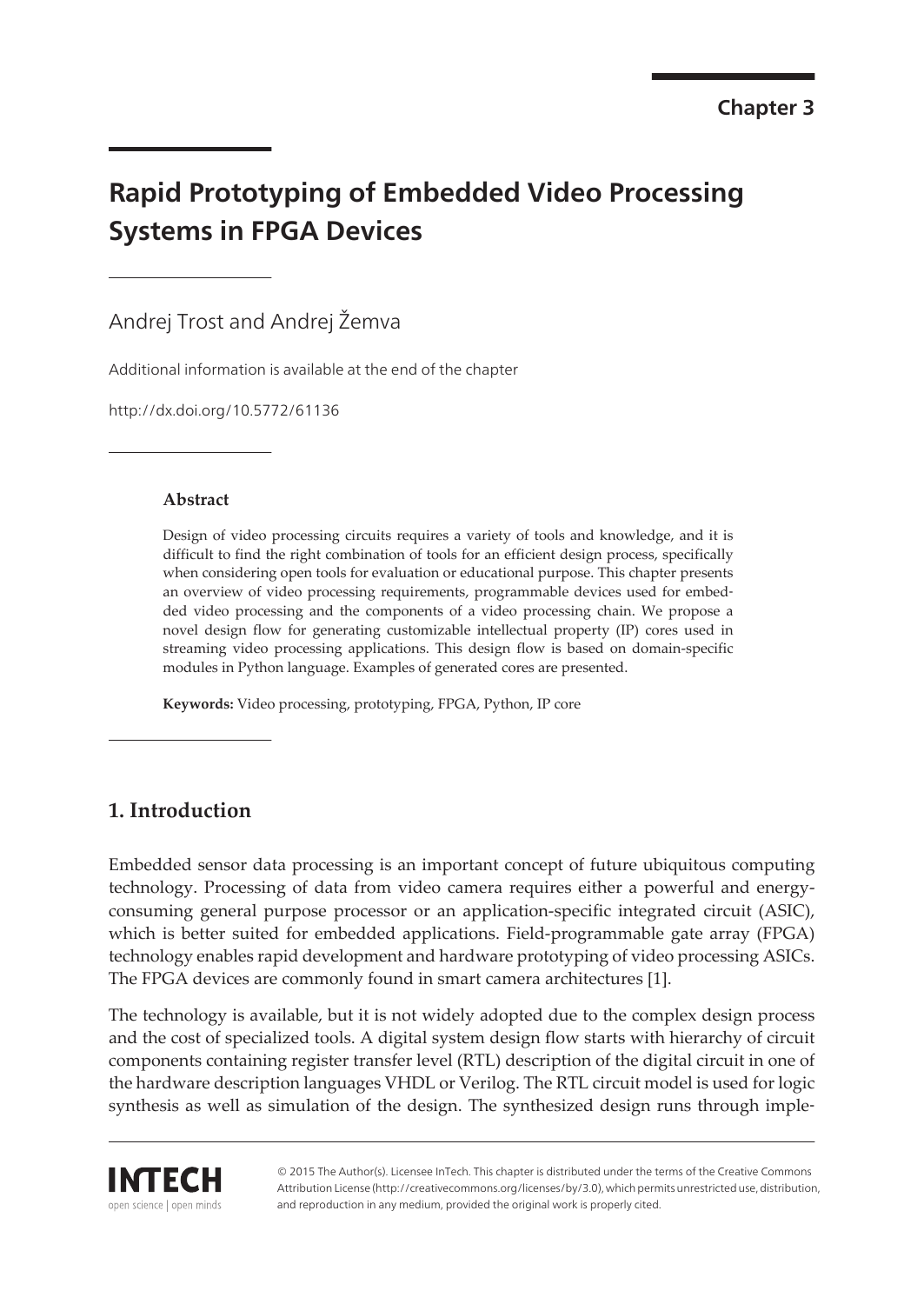# **Rapid Prototyping of Embedded Video Processing Systems in FPGA Devices**

Andrej Trost and Andrej Žemva

[Additional information is available at the end of the chapter](#page-18-0)

http://dx.doi.org/10.5772/61136

#### **Abstract**

Design of video processing circuits requires a variety of tools and knowledge, and it is difficult to find the right combination of tools for an efficient design process, specifically when considering open tools for evaluation or educational purpose. This chapter presents an overview of video processing requirements, programmable devices used for embedded video processing and the components of a video processing chain. We propose a novel design flow for generating customizable intellectual property (IP) cores used in streaming video processing applications. This design flow is based on domain-specific modules in Python language. Examples of generated cores are presented.

**Keywords:** Video processing, prototyping, FPGA, Python, IP core

## **1. Introduction**

Embedded sensor data processing is an important concept of future ubiquitous computing technology. Processing of data from video camera requires either a powerful and energyconsuming general purpose processor or an application-specific integrated circuit (ASIC), which is better suited for embedded applications. Field-programmable gate array (FPGA) technology enables rapid development and hardware prototyping of video processing ASICs. The FPGA devices are commonly found in smart camera architectures [[1](#page-18-0)].

The technology is available, but it is not widely adopted due to the complex design process and the cost of specialized tools. A digital system design flow starts with hierarchy of circuit components containing register transfer level (RTL) description of the digital circuit in one of the hardware description languages VHDL or Verilog. The RTL circuit model is used for logic synthesis as well as simulation of the design. The synthesized design runs through imple-



© 2015 The Author(s). Licensee InTech. This chapter is distributed under the terms of the Creative Commons Attribution License (http://creativecommons.org/licenses/by/3.0), which permits unrestricted use, distribution, and reproduction in any medium, provided the original work is properly cited.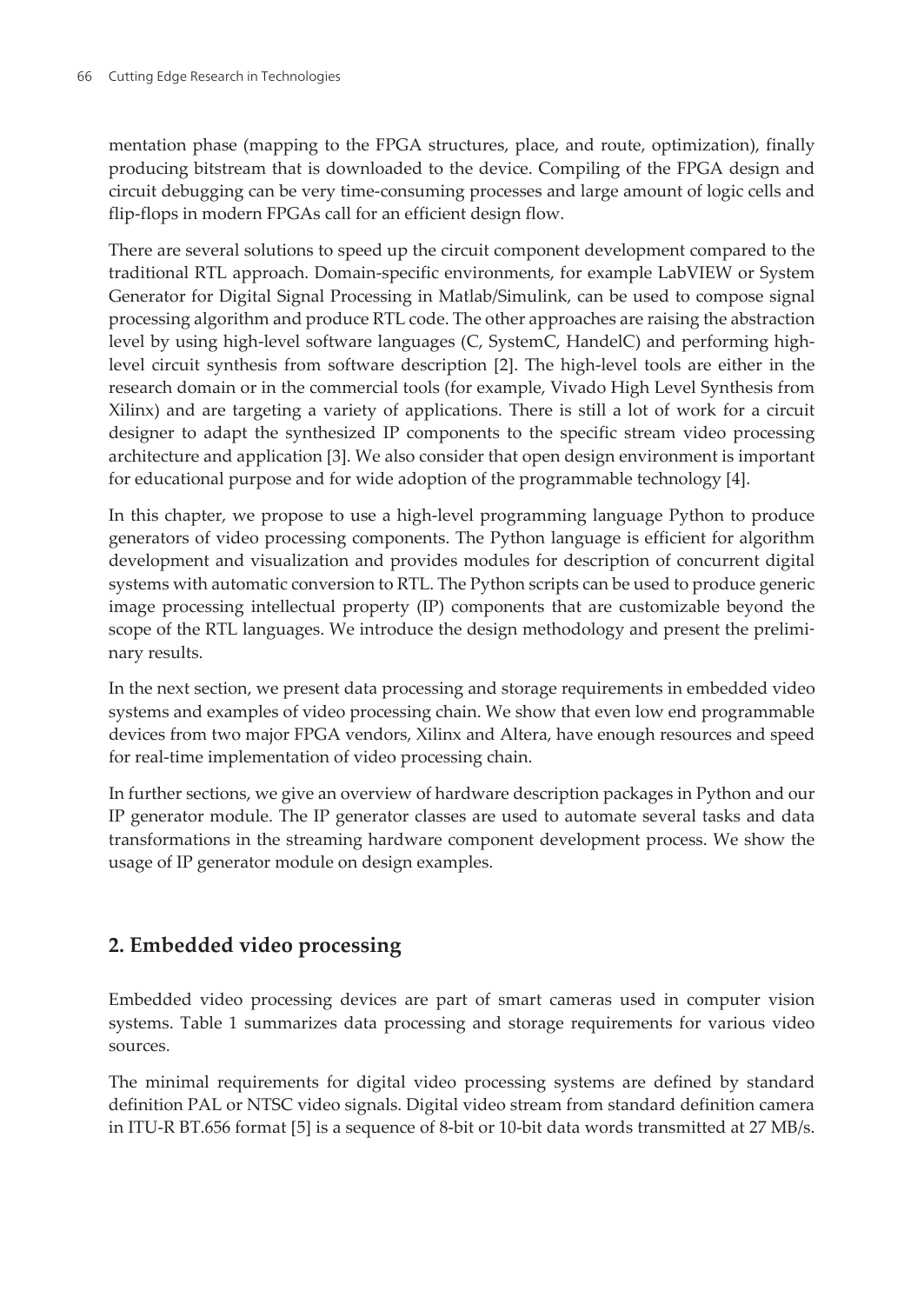mentation phase (mapping to the FPGA structures, place, and route, optimization), finally producing bitstream that is downloaded to the device. Compiling of the FPGA design and circuit debugging can be very time-consuming processes and large amount of logic cells and flip-flops in modern FPGAs call for an efficient design flow.

There are several solutions to speed up the circuit component development compared to the traditional RTL approach. Domain-specific environments, for example LabVIEW or System Generator for Digital Signal Processing in Matlab/Simulink, can be used to compose signal processing algorithm and produce RTL code. The other approaches are raising the abstraction level by using high-level software languages (C, SystemC, HandelC) and performing highlevel circuit synthesis from software description [[2](#page-19-0)]. The high-level tools are either in the research domain or in the commercial tools (for example, Vivado High Level Synthesis from Xilinx) and are targeting a variety of applications. There is still a lot of work for a circuit designer to adapt the synthesized IP components to the specific stream video processing architecture and application [\[3\]](#page-19-0). We also consider that open design environment is important for educational purpose and for wide adoption of the programmable technology [[4](#page-19-0)].

In this chapter, we propose to use a high-level programming language Python to produce generators of video processing components. The Python language is efficient for algorithm development and visualization and provides modules for description of concurrent digital systems with automatic conversion to RTL. The Python scripts can be used to produce generic image processing intellectual property (IP) components that are customizable beyond the scope of the RTL languages. We introduce the design methodology and present the preliminary results.

In the next section, we present data processing and storage requirements in embedded video systems and examples of video processing chain. We show that even low end programmable devices from two major FPGA vendors, Xilinx and Altera, have enough resources and speed for real-time implementation of video processing chain.

In further sections, we give an overview of hardware description packages in Python and our IP generator module. The IP generator classes are used to automate several tasks and data transformations in the streaming hardware component development process. We show the usage of IP generator module on design examples.

# **2. Embedded video processing**

Embedded video processing devices are part of smart cameras used in computer vision systems. [Table 1](#page-2-0) summarizes data processing and storage requirements for various video sources.

The minimal requirements for digital video processing systems are defined by standard definition PAL or NTSC video signals. Digital video stream from standard definition camera in ITU-R BT.656 format [[5](#page-19-0)] is a sequence of 8-bit or 10-bit data words transmitted at 27 MB/s.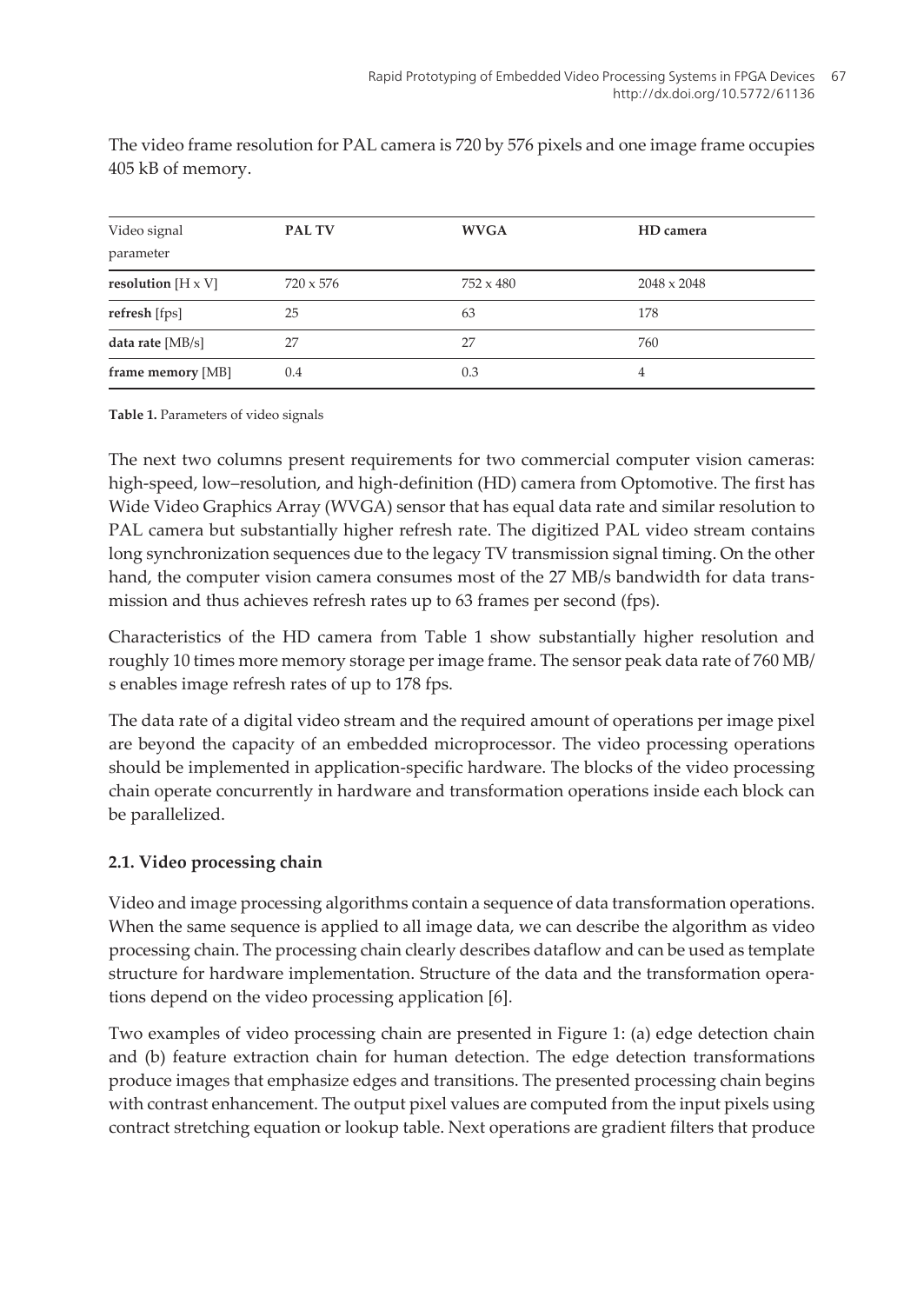| Video signal<br>parameter | <b>PAL TV</b>    | <b>WVGA</b> | HD camera          |
|---------------------------|------------------|-------------|--------------------|
| resolution $[H \times V]$ | $720 \times 576$ | 752 x 480   | $2048 \times 2048$ |
| refresh [fps]             | 25               | 63          | 178                |
| data rate [MB/s]          | 27               | 27          | 760                |
| frame memory [MB]         | 0.4              | 0.3         | 4                  |

<span id="page-2-0"></span>The video frame resolution for PAL camera is 720 by 576 pixels and one image frame occupies 405 kB of memory.

**Table 1.** Parameters of video signals

The next two columns present requirements for two commercial computer vision cameras: high-speed, low–resolution, and high-definition (HD) camera from Optomotive. The first has Wide Video Graphics Array (WVGA) sensor that has equal data rate and similar resolution to PAL camera but substantially higher refresh rate. The digitized PAL video stream contains long synchronization sequences due to the legacy TV transmission signal timing. On the other hand, the computer vision camera consumes most of the 27 MB/s bandwidth for data transmission and thus achieves refresh rates up to 63 frames per second (fps).

Characteristics of the HD camera from Table 1 show substantially higher resolution and roughly 10 times more memory storage per image frame. The sensor peak data rate of 760 MB/ s enables image refresh rates of up to 178 fps.

The data rate of a digital video stream and the required amount of operations per image pixel are beyond the capacity of an embedded microprocessor. The video processing operations should be implemented in application-specific hardware. The blocks of the video processing chain operate concurrently in hardware and transformation operations inside each block can be parallelized.

#### **2.1. Video processing chain**

Video and image processing algorithms contain a sequence of data transformation operations. When the same sequence is applied to all image data, we can describe the algorithm as video processing chain. The processing chain clearly describes dataflow and can be used as template structure for hardware implementation. Structure of the data and the transformation opera‐ tions depend on the video processing application [[6](#page-19-0)].

Two examples of video processing chain are presented in [Figure 1](#page-3-0): (a) edge detection chain and (b) feature extraction chain for human detection. The edge detection transformations produce images that emphasize edges and transitions. The presented processing chain begins with contrast enhancement. The output pixel values are computed from the input pixels using contract stretching equation or lookup table. Next operations are gradient filters that produce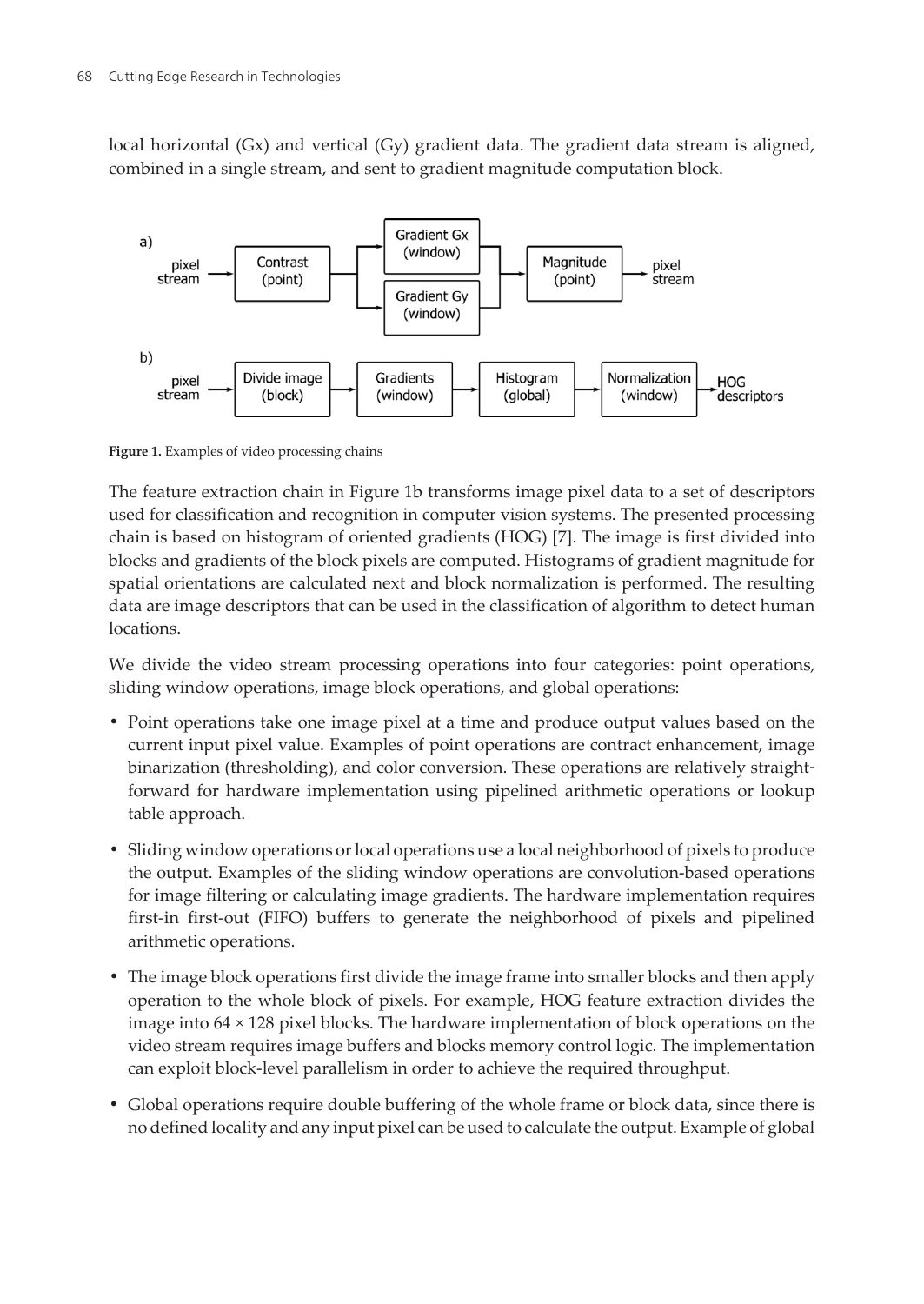<span id="page-3-0"></span>local horizontal (Gx) and vertical (Gy) gradient data. The gradient data stream is aligned, combined in a single stream, and sent to gradient magnitude computation block.



**Figure 1.** Examples of video processing chains

The feature extraction chain in Figure 1b transforms image pixel data to a set of descriptors used for classification and recognition in computer vision systems. The presented processing chain is based on histogram of oriented gradients (HOG) [\[7\]](#page-19-0). The image is first divided into blocks and gradients of the block pixels are computed. Histograms of gradient magnitude for spatial orientations are calculated next and block normalization is performed. The resulting data are image descriptors that can be used in the classification of algorithm to detect human locations.

We divide the video stream processing operations into four categories: point operations, sliding window operations, image block operations, and global operations:

- **•** Point operations take one image pixel at a time and produce output values based on the current input pixel value. Examples of point operations are contract enhancement, image binarization (thresholding), and color conversion. These operations are relatively straight– forward for hardware implementation using pipelined arithmetic operations or lookup table approach.
- **•** Sliding window operations or local operations use a local neighborhood of pixels to produce the output. Examples of the sliding window operations are convolution-based operations for image filtering or calculating image gradients. The hardware implementation requires first-in first-out (FIFO) buffers to generate the neighborhood of pixels and pipelined arithmetic operations.
- **•** The image block operations first divide the image frame into smaller blocks and then apply operation to the whole block of pixels. For example, HOG feature extraction divides the image into 64 × 128 pixel blocks. The hardware implementation of block operations on the video stream requires image buffers and blocks memory control logic. The implementation can exploit block-level parallelism in order to achieve the required throughput.
- **•** Global operations require double buffering of the whole frame or block data, since there is no defined locality and any input pixel can be used to calculate the output. Example of global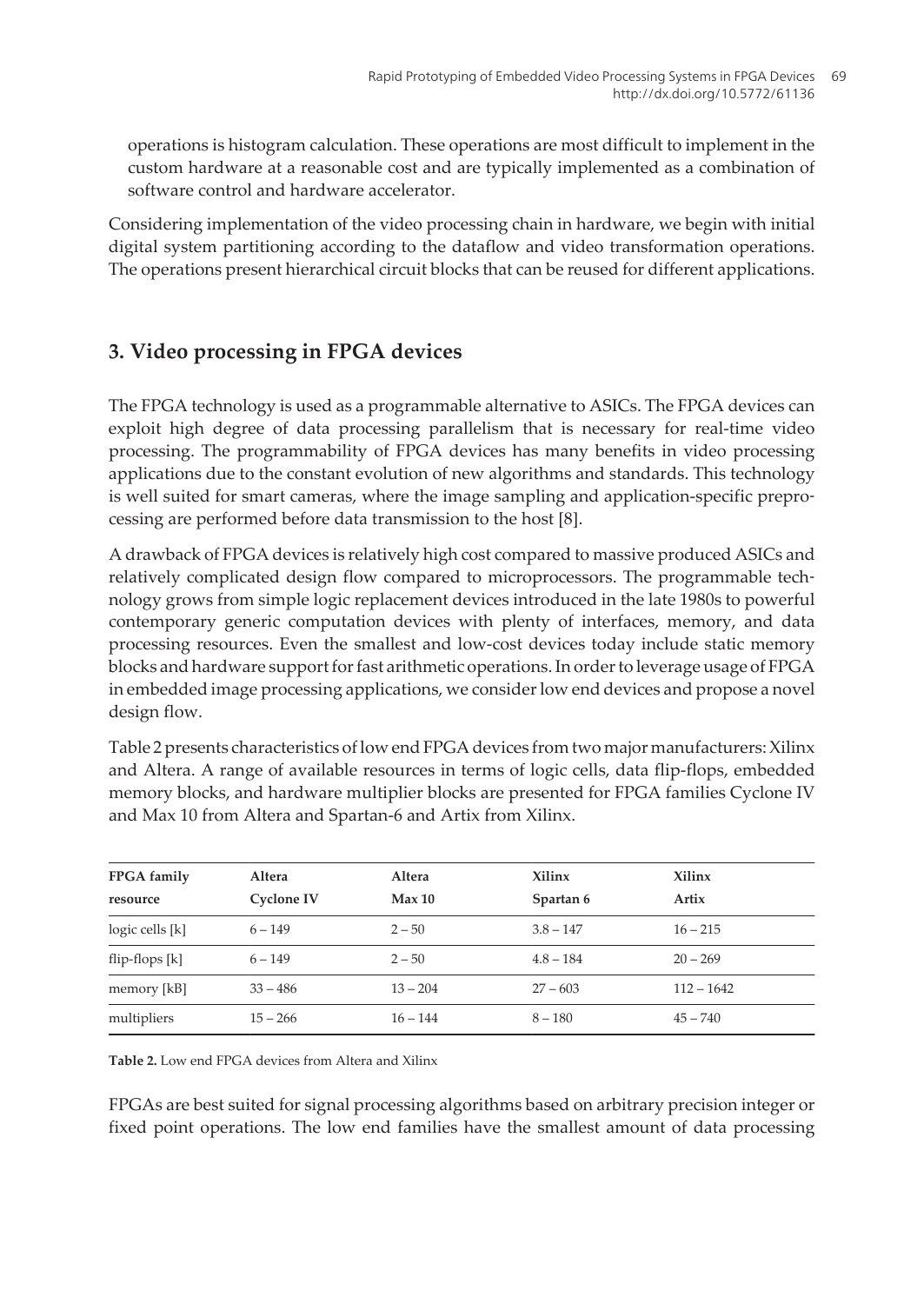operations is histogram calculation. These operations are most difficult to implement in the custom hardware at a reasonable cost and are typically implemented as a combination of software control and hardware accelerator.

Considering implementation of the video processing chain in hardware, we begin with initial digital system partitioning according to the dataflow and video transformation operations. The operations present hierarchical circuit blocks that can be reused for different applications.

# **3. Video processing in FPGA devices**

The FPGA technology is used as a programmable alternative to ASICs. The FPGA devices can exploit high degree of data processing parallelism that is necessary for real-time video processing. The programmability of FPGA devices has many benefits in video processing applications due to the constant evolution of new algorithms and standards. This technology is well suited for smart cameras, where the image sampling and application-specific prepro‐ cessing are performed before data transmission to the host [\[8\]](#page-19-0).

A drawback of FPGA devices is relatively high cost compared to massive produced ASICs and relatively complicated design flow compared to microprocessors. The programmable technology grows from simple logic replacement devices introduced in the late 1980s to powerful contemporary generic computation devices with plenty of interfaces, memory, and data processing resources. Even the smallest and low-cost devices today include static memory blocks and hardware support for fast arithmetic operations. In order to leverage usage of FPGA in embedded image processing applications, we consider low end devices and propose a novel design flow.

Table 2 presents characteristics of low end FPGA devices from two major manufacturers: Xilinx and Altera. A range of available resources in terms of logic cells, data flip-flops, embedded memory blocks, and hardware multiplier blocks are presented for FPGA families Cyclone IV and Max 10 from Altera and Spartan-6 and Artix from Xilinx.

| <b>FPGA</b> family<br>resource | Altera<br><b>Cyclone IV</b> | Altera<br>Max 10 | Xilinx<br>Spartan 6 | Xilinx<br>Artix |
|--------------------------------|-----------------------------|------------------|---------------------|-----------------|
| logic cells [k]                | $6 - 149$                   | $2 - 50$         | $3.8 - 147$         | $16 - 215$      |
| flip-flops $[k]$               | $6 - 149$                   | $2 - 50$         | $4.8 - 184$         | $20 - 269$      |
| memory [kB]                    | $33 - 486$                  | $13 - 204$       | $27 - 603$          | $112 - 1642$    |
| multipliers                    | $15 - 266$                  | $16 - 144$       | $8 - 180$           | $45 - 740$      |

**Table 2.** Low end FPGA devices from Altera and Xilinx

FPGAs are best suited for signal processing algorithms based on arbitrary precision integer or fixed point operations. The low end families have the smallest amount of data processing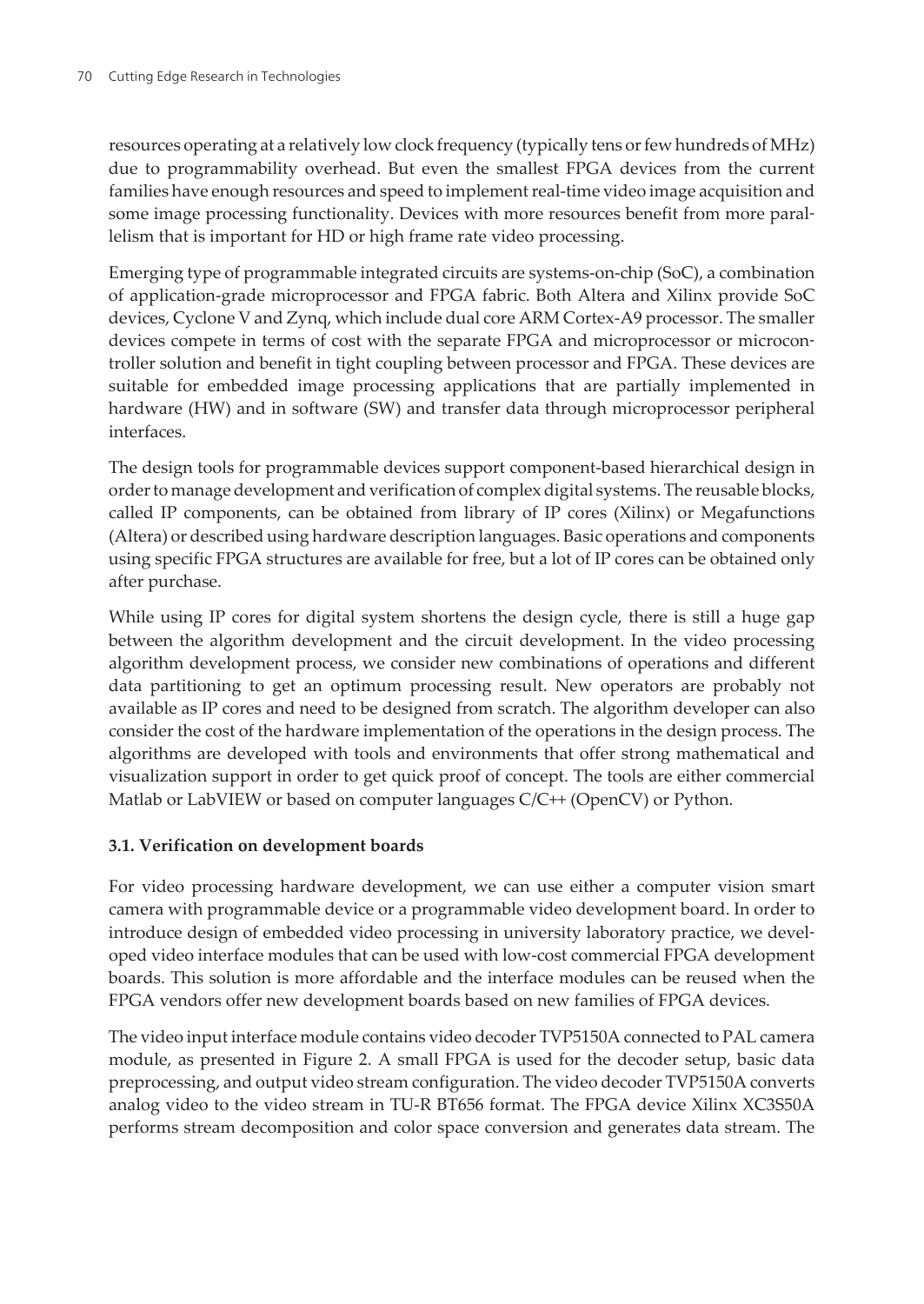resources operating at a relatively low clock frequency (typically tens or few hundreds of MHz) due to programmability overhead. But even the smallest FPGA devices from the current families have enough resources and speed to implement real-time video image acquisition and some image processing functionality. Devices with more resources benefit from more parallelism that is important for HD or high frame rate video processing.

Emerging type of programmable integrated circuits are systems-on-chip (SoC), a combination of application-grade microprocessor and FPGA fabric. Both Altera and Xilinx provide SoC devices, Cyclone V and Zynq, which include dual core ARM Cortex-A9 processor. The smaller devices compete in terms of cost with the separate FPGA and microprocessor or microcontroller solution and benefit in tight coupling between processor and FPGA. These devices are suitable for embedded image processing applications that are partially implemented in hardware (HW) and in software (SW) and transfer data through microprocessor peripheral interfaces.

The design tools for programmable devices support component-based hierarchical design in order to manage development and verification of complex digital systems. The reusable blocks, called IP components, can be obtained from library of IP cores (Xilinx) or Megafunctions (Altera) or described using hardware description languages. Basic operations and components using specific FPGA structures are available for free, but a lot of IP cores can be obtained only after purchase.

While using IP cores for digital system shortens the design cycle, there is still a huge gap between the algorithm development and the circuit development. In the video processing algorithm development process, we consider new combinations of operations and different data partitioning to get an optimum processing result. New operators are probably not available as IP cores and need to be designed from scratch. The algorithm developer can also consider the cost of the hardware implementation of the operations in the design process. The algorithms are developed with tools and environments that offer strong mathematical and visualization support in order to get quick proof of concept. The tools are either commercial Matlab or LabVIEW or based on computer languages C/C++ (OpenCV) or Python.

#### **3.1. Verification on development boards**

For video processing hardware development, we can use either a computer vision smart camera with programmable device or a programmable video development board. In order to introduce design of embedded video processing in university laboratory practice, we developed video interface modules that can be used with low-cost commercial FPGA development boards. This solution is more affordable and the interface modules can be reused when the FPGA vendors offer new development boards based on new families of FPGA devices.

The video input interface module contains video decoder TVP5150A connected to PAL camera module, as presented in [Figure 2.](#page-6-0) A small FPGA is used for the decoder setup, basic data preprocessing, and output video stream configuration. The video decoder TVP5150A converts analog video to the video stream in TU-R BT656 format. The FPGA device Xilinx XC3S50A performs stream decomposition and color space conversion and generates data stream. The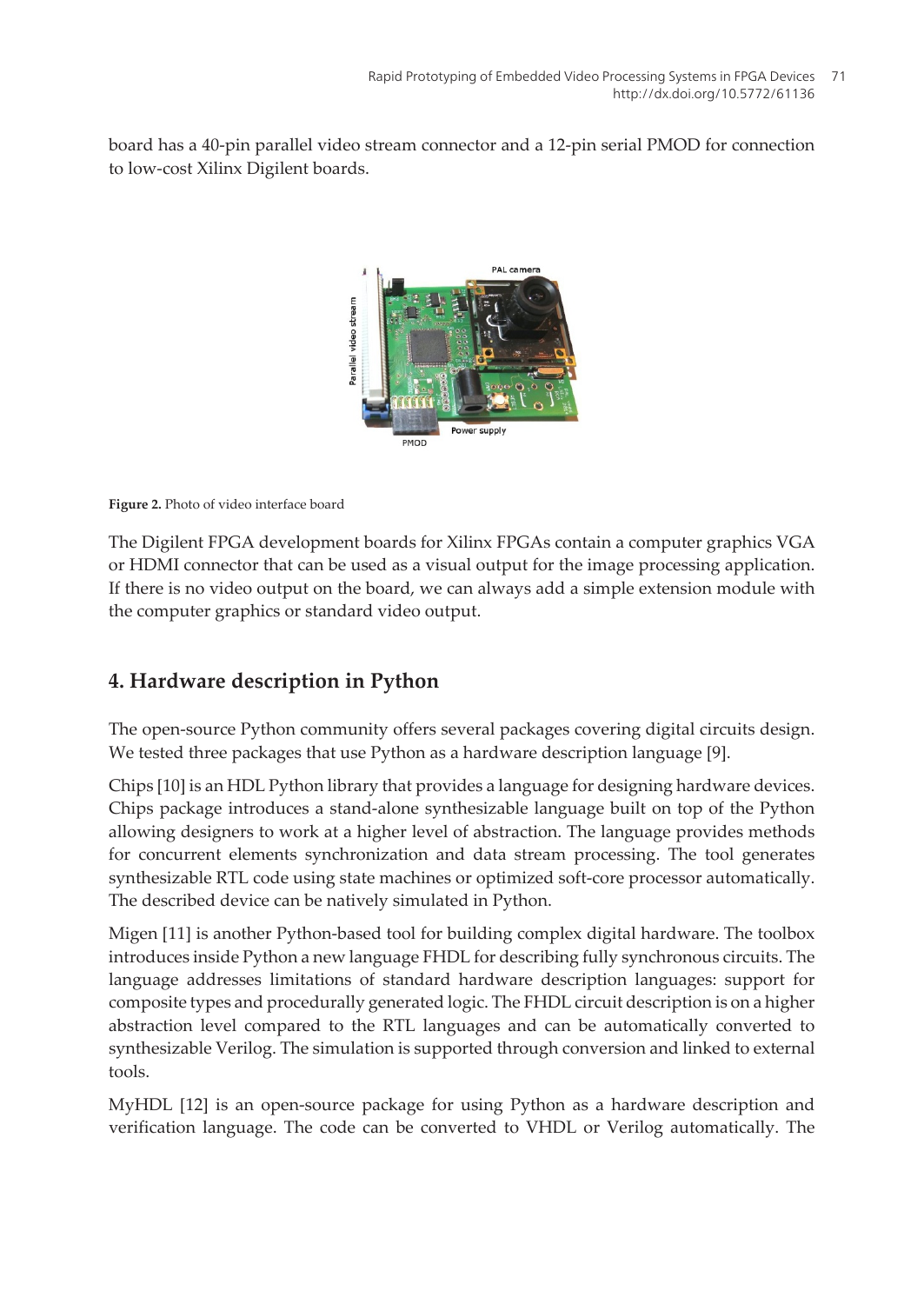<span id="page-6-0"></span>board has a 40-pin parallel video stream connector and a 12-pin serial PMOD for connection to low-cost Xilinx Digilent boards.



**Figure 2.** Photo of video interface board

The Digilent FPGA development boards for Xilinx FPGAs contain a computer graphics VGA or HDMI connector that can be used as a visual output for the image processing application. If there is no video output on the board, we can always add a simple extension module with the computer graphics or standard video output.

# **4. Hardware description in Python**

The open-source Python community offers several packages covering digital circuits design. We tested three packages that use Python as a hardware description language [[9](#page-19-0)].

Chips [[10\]](#page-19-0) is an HDL Python library that provides a language for designing hardware devices. Chips package introduces a stand-alone synthesizable language built on top of the Python allowing designers to work at a higher level of abstraction. The language provides methods for concurrent elements synchronization and data stream processing. The tool generates synthesizable RTL code using state machines or optimized soft-core processor automatically. The described device can be natively simulated in Python.

Migen [[11\]](#page-19-0) is another Python-based tool for building complex digital hardware. The toolbox introduces inside Python a new language FHDL for describing fully synchronous circuits. The language addresses limitations of standard hardware description languages: support for composite types and procedurally generated logic. The FHDL circuit description is on a higher abstraction level compared to the RTL languages and can be automatically converted to synthesizable Verilog. The simulation is supported through conversion and linked to external tools.

MyHDL [[12\]](#page-19-0) is an open-source package for using Python as a hardware description and verification language. The code can be converted to VHDL or Verilog automatically. The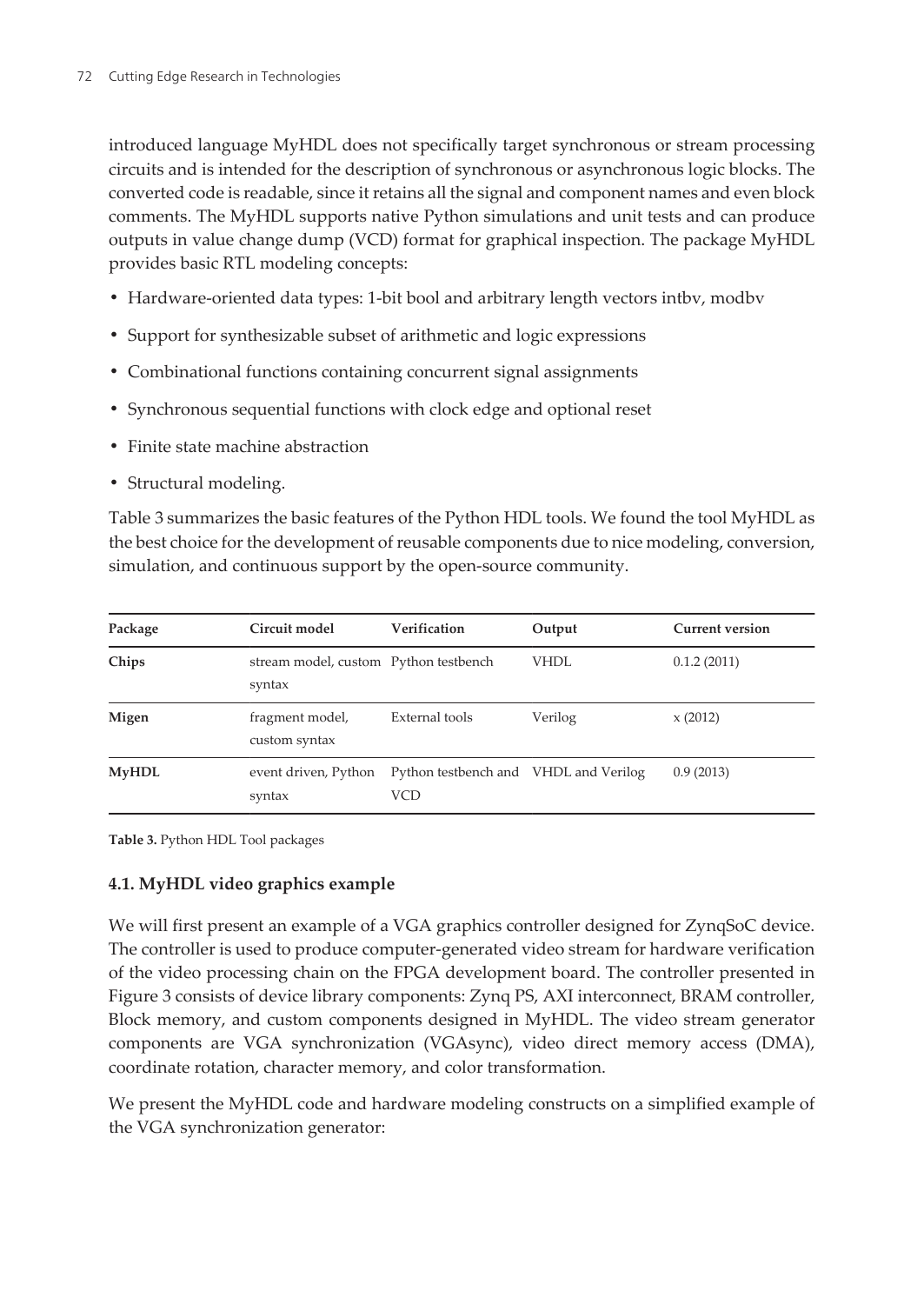introduced language MyHDL does not specifically target synchronous or stream processing circuits and is intended for the description of synchronous or asynchronous logic blocks. The converted code is readable, since it retains all the signal and component names and even block comments. The MyHDL supports native Python simulations and unit tests and can produce outputs in value change dump (VCD) format for graphical inspection. The package MyHDL provides basic RTL modeling concepts:

- **•** Hardware-oriented data types: 1-bit bool and arbitrary length vectors intbv, modbv
- **•** Support for synthesizable subset of arithmetic and logic expressions
- **•** Combinational functions containing concurrent signal assignments
- **•** Synchronous sequential functions with clock edge and optional reset
- **•** Finite state machine abstraction
- **•** Structural modeling.

Table 3 summarizes the basic features of the Python HDL tools. We found the tool MyHDL as the best choice for the development of reusable components due to nice modeling, conversion, simulation, and continuous support by the open-source community.

| Package      | Circuit model                                   | Verification                                 | Output      | <b>Current version</b> |
|--------------|-------------------------------------------------|----------------------------------------------|-------------|------------------------|
| Chips        | stream model, custom Python testbench<br>syntax |                                              | <b>VHDL</b> | 0.1.2(2011)            |
| Migen        | fragment model,<br>custom syntax                | External tools                               | Verilog     | x(2012)                |
| <b>MyHDL</b> | event driven, Python<br>syntax                  | Python testbench and VHDL and Verilog<br>VCD |             | 0.9(2013)              |

**Table 3.** Python HDL Tool packages

#### **4.1. MyHDL video graphics example**

We will first present an example of a VGA graphics controller designed for ZynqSoC device. The controller is used to produce computer-generated video stream for hardware verification of the video processing chain on the FPGA development board. The controller presented in Figure 3 consists of device library components: Zynq PS, AXI interconnect, BRAM controller, Block memory, and custom components designed in MyHDL. The video stream generator components are VGA synchronization (VGAsync), video direct memory access (DMA), coordinate rotation, character memory, and color transformation.

We present the MyHDL code and hardware modeling constructs on a simplified example of the VGA synchronization generator: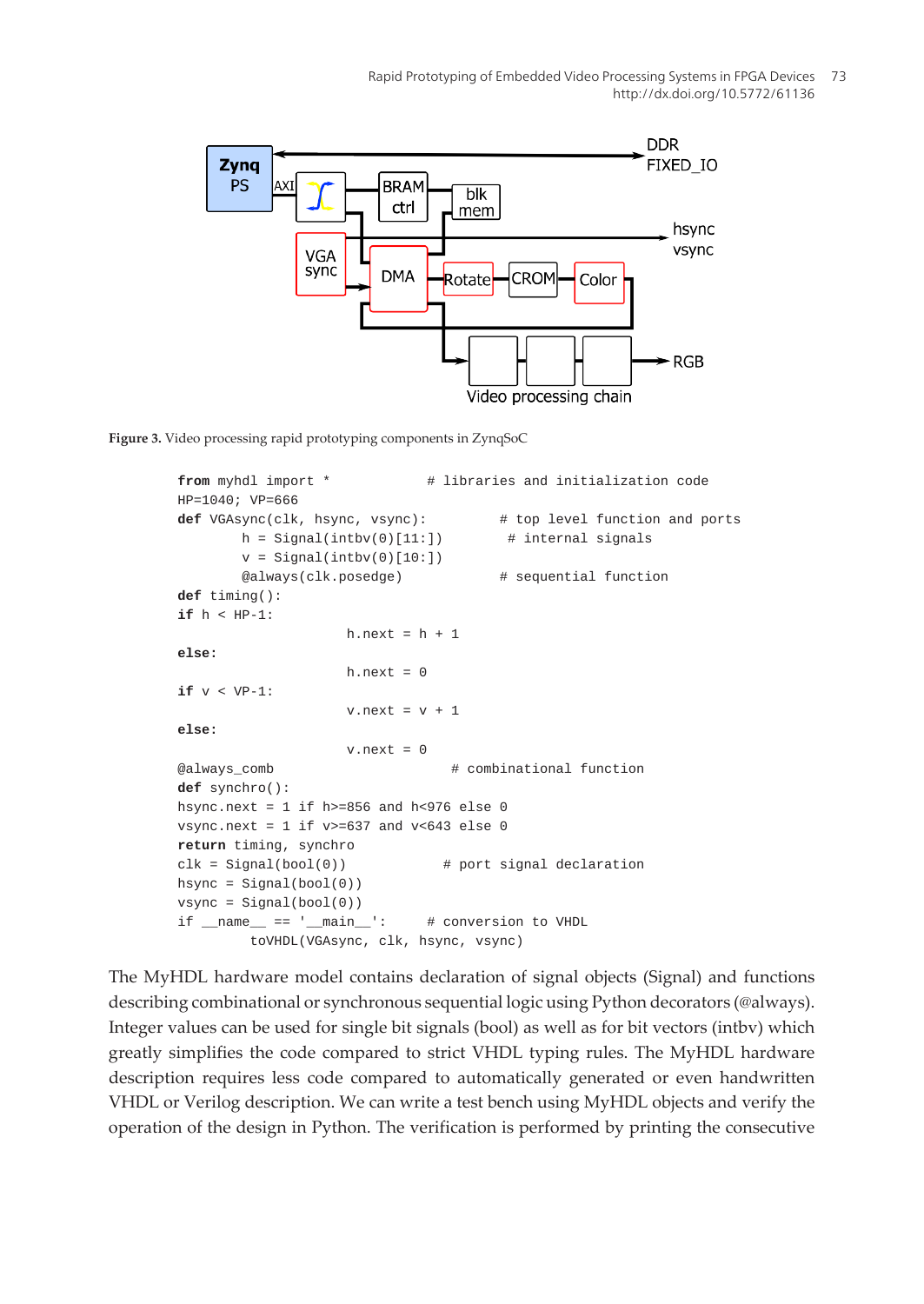Rapid Prototyping of Embedded Video Processing Systems in FPGA Devices 73http://dx.doi.org/10.5772/61136



**Figure 3.** Video processing rapid prototyping components in ZynqSoC

```
from myhdl import * # libraries and initialization code
HP=1040; VP=666
def VGAsync(clk, hsync, vsync): # top level function and ports
       h = Signal(intbv(0)[11:]) # internal signals
       v = Signal(intbv(0)[10:])
       @always(clk.posedge) # sequential function
def timing():
if h < HP-1:
                   h.next = h + 1else:
                   h.next = 0if v < VP-1:
                   v.next = v + 1else:
                   v.next = 0@always_comb # combinational function
def synchro():
hsync.next = 1 if h > = 856 and h < 976 else 0
vsync.next = 1 if v>=637 and v<643 else 0
return timing, synchro
clk = Signal(bool(0)) # port signal declaration
hsync = Signal(bool(0))vsync = Signal(bool(0))
if __name__ == '__main__': # conversion to VHDL
         toVHDL(VGAsync, clk, hsync, vsync)
```
The MyHDL hardware model contains declaration of signal objects (Signal) and functions describing combinational or synchronous sequential logic using Python decorators (@always). Integer values can be used for single bit signals (bool) as well as for bit vectors (intbv) which greatly simplifies the code compared to strict VHDL typing rules. The MyHDL hardware description requires less code compared to automatically generated or even handwritten VHDL or Verilog description. We can write a test bench using MyHDL objects and verify the operation of the design in Python. The verification is performed by printing the consecutive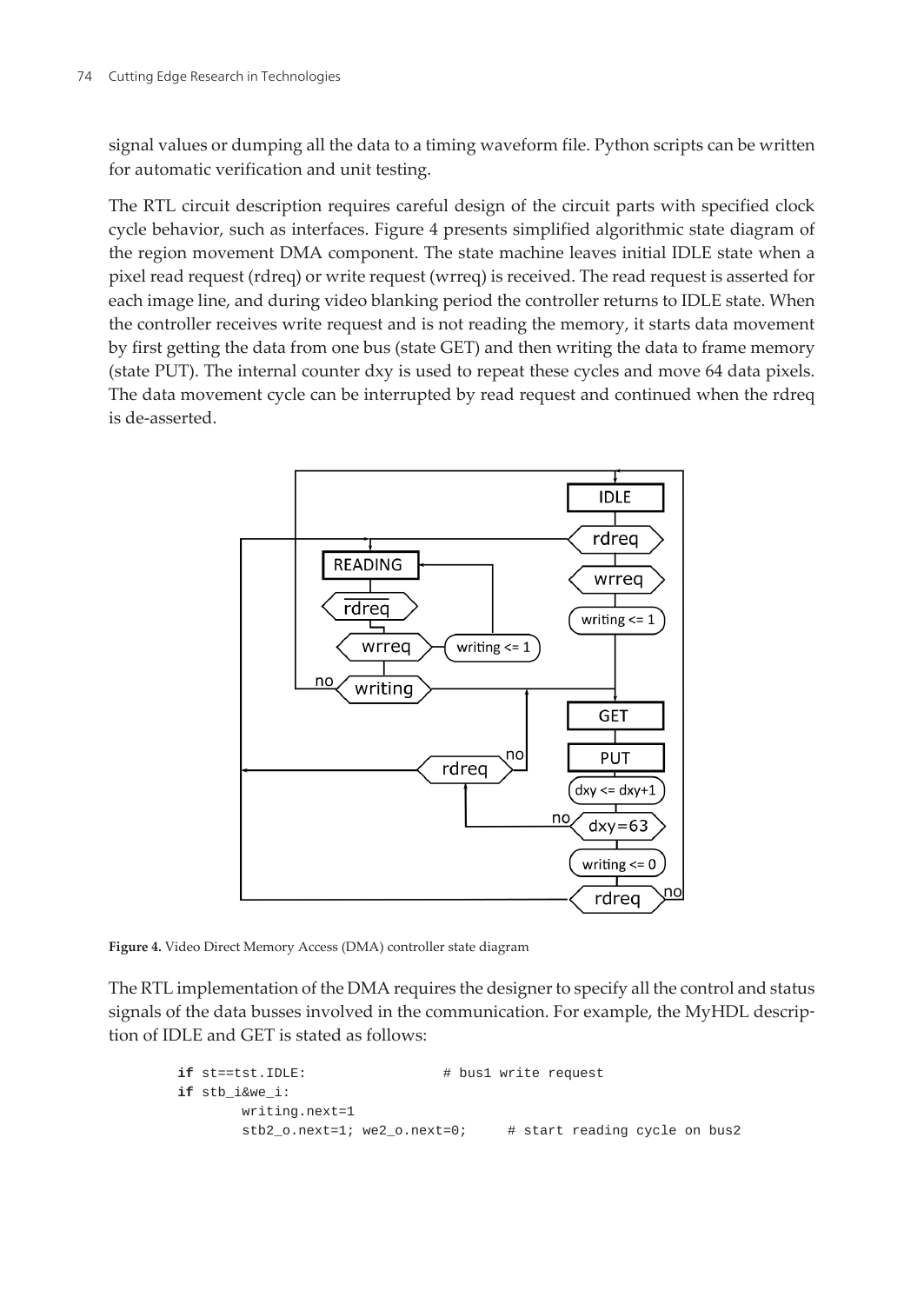signal values or dumping all the data to a timing waveform file. Python scripts can be written for automatic verification and unit testing.

The RTL circuit description requires careful design of the circuit parts with specified clock cycle behavior, such as interfaces. Figure 4 presents simplified algorithmic state diagram of the region movement DMA component. The state machine leaves initial IDLE state when a pixel read request (rdreq) or write request (wrreq) is received. The read request is asserted for each image line, and during video blanking period the controller returns to IDLE state. When the controller receives write request and is not reading the memory, it starts data movement by first getting the data from one bus (state GET) and then writing the data to frame memory (state PUT). The internal counter dxy is used to repeat these cycles and move 64 data pixels. The data movement cycle can be interrupted by read request and continued when the rdreq is de-asserted.



**Figure 4.** Video Direct Memory Access (DMA) controller state diagram

The RTL implementation of the DMA requires the designer to specify all the control and status signals of the data busses involved in the communication. For example, the MyHDL descrip‐ tion of IDLE and GET is stated as follows:

```
if st==tst.IDLE: # bus1 write request
if stb_i&we_i:
       writing.next=1
      stb2_o.next=1; we2_o.next=0; # start reading cycle on bus2
```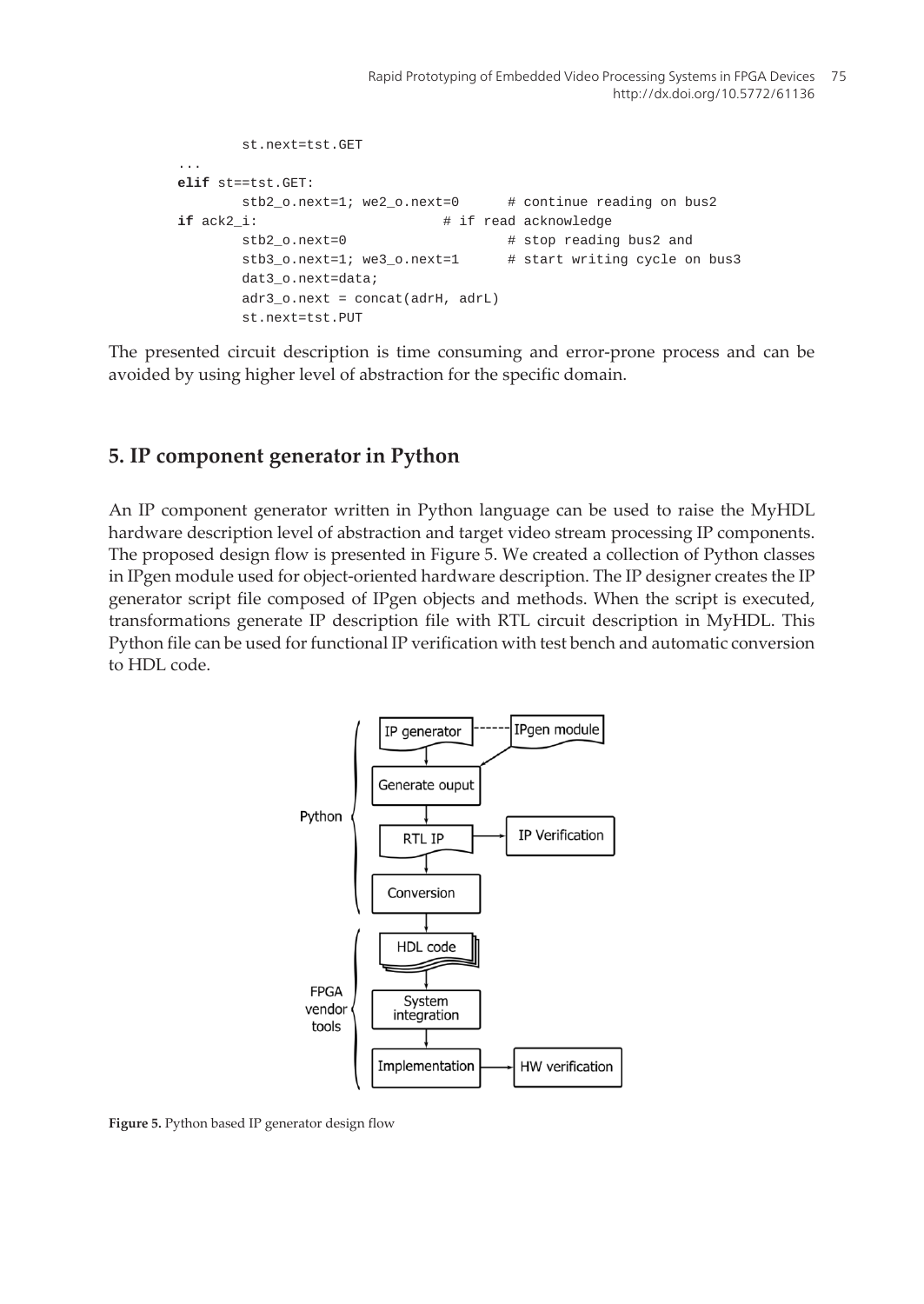```
 st.next=tst.GET
...
elif st==tst.GET:
       stb2_o.next=1; we2_o.next=0 # continue reading on bus2
if ack2 i: # if read acknowledge
      stb2_o.next=0 \qquad # stop reading bus2 and
      stb3_o.next=1; we3_o.next=1 # start writing cycle on bus3
      dat3_o.next=data;
       adr3_o.next = concat(adrH, adrL)
       st.next=tst.PUT
```
The presented circuit description is time consuming and error-prone process and can be avoided by using higher level of abstraction for the specific domain.

#### **5. IP component generator in Python**

An IP component generator written in Python language can be used to raise the MyHDL hardware description level of abstraction and target video stream processing IP components. The proposed design flow is presented in Figure 5. We created a collection of Python classes in IPgen module used for object-oriented hardware description. The IP designer creates the IP generator script file composed of IPgen objects and methods. When the script is executed, transformations generate IP description file with RTL circuit description in MyHDL. This Python file can be used for functional IP verification with test bench and automatic conversion to HDL code.



**Figure 5.** Python based IP generator design flow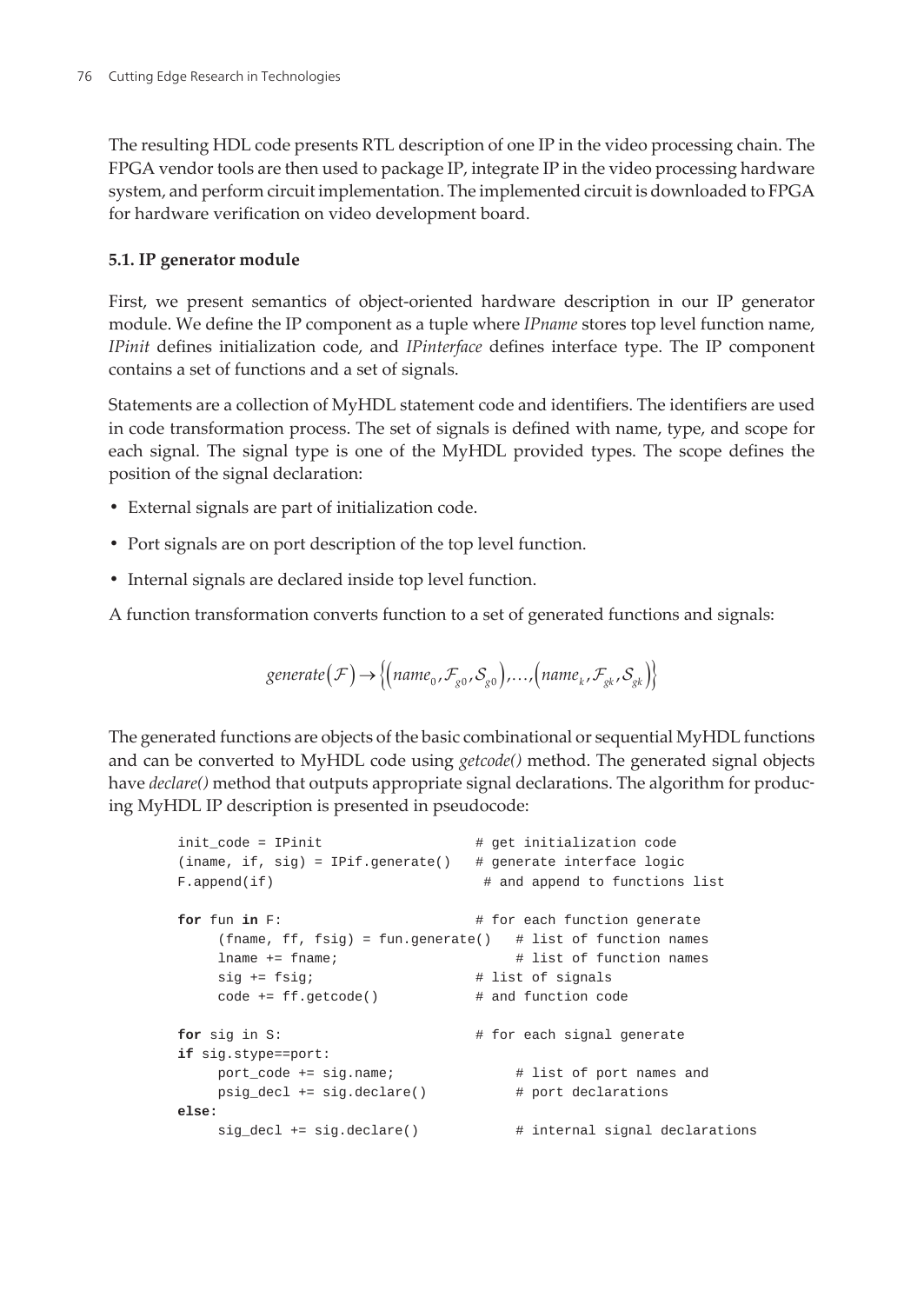The resulting HDL code presents RTL description of one IP in the video processing chain. The FPGA vendor tools are then used to package IP, integrate IP in the video processing hardware system, and perform circuit implementation. The implemented circuit is downloaded to FPGA for hardware verification on video development board.

#### **5.1. IP generator module**

First, we present semantics of object-oriented hardware description in our IP generator module. We define the IP component as a tuple where *IPname* stores top level function name, *IPinit* defines initialization code, and *IPinterface* defines interface type. The IP component contains a set of functions and a set of signals.

Statements are a collection of MyHDL statement code and identifiers. The identifiers are used in code transformation process. The set of signals is defined with name, type, and scope for each signal. The signal type is one of the MyHDL provided types. The scope defines the position of the signal declaration:

- **•** External signals are part of initialization code.
- **•** Port signals are on port description of the top level function.
- **•** Internal signals are declared inside top level function.

A function transformation converts function to a set of generated functions and signals:

$$
generate(\mathcal{F}) \rightarrow \left\{ (name_{0}, \mathcal{F}_{g0}, S_{g0}), ..., (name_{k}, \mathcal{F}_{gk}, S_{gk}) \right\}
$$

The generated functions are objects of the basic combinational or sequential MyHDL functions and can be converted to MyHDL code using *getcode()* method. The generated signal objects have *declare*() method that outputs appropriate signal declarations. The algorithm for producing MyHDL IP description is presented in pseudocode:

```
init code = IPinit \# qet initialization code
(iname, if, sig) = IPif.generate() # generate interface logic
F.append(if) \# and append to functions list
for fun in F: \qquad # for each function generate
    (fname, ff, fsig) = fun.generate() # list of function names
   lname += fname; \qquad # list of function names
   sig += fsig; \qquad # list of signals
   code += ff.getcode() # and function code
for sig in S: # for each signal generate
if sig.stype==port:
   port_code += sig.name; # list of port names and
    psig_decl += sig.declare() # port declarations
else:
   sig decl += sig.declare() \qquad # internal signal declarations
```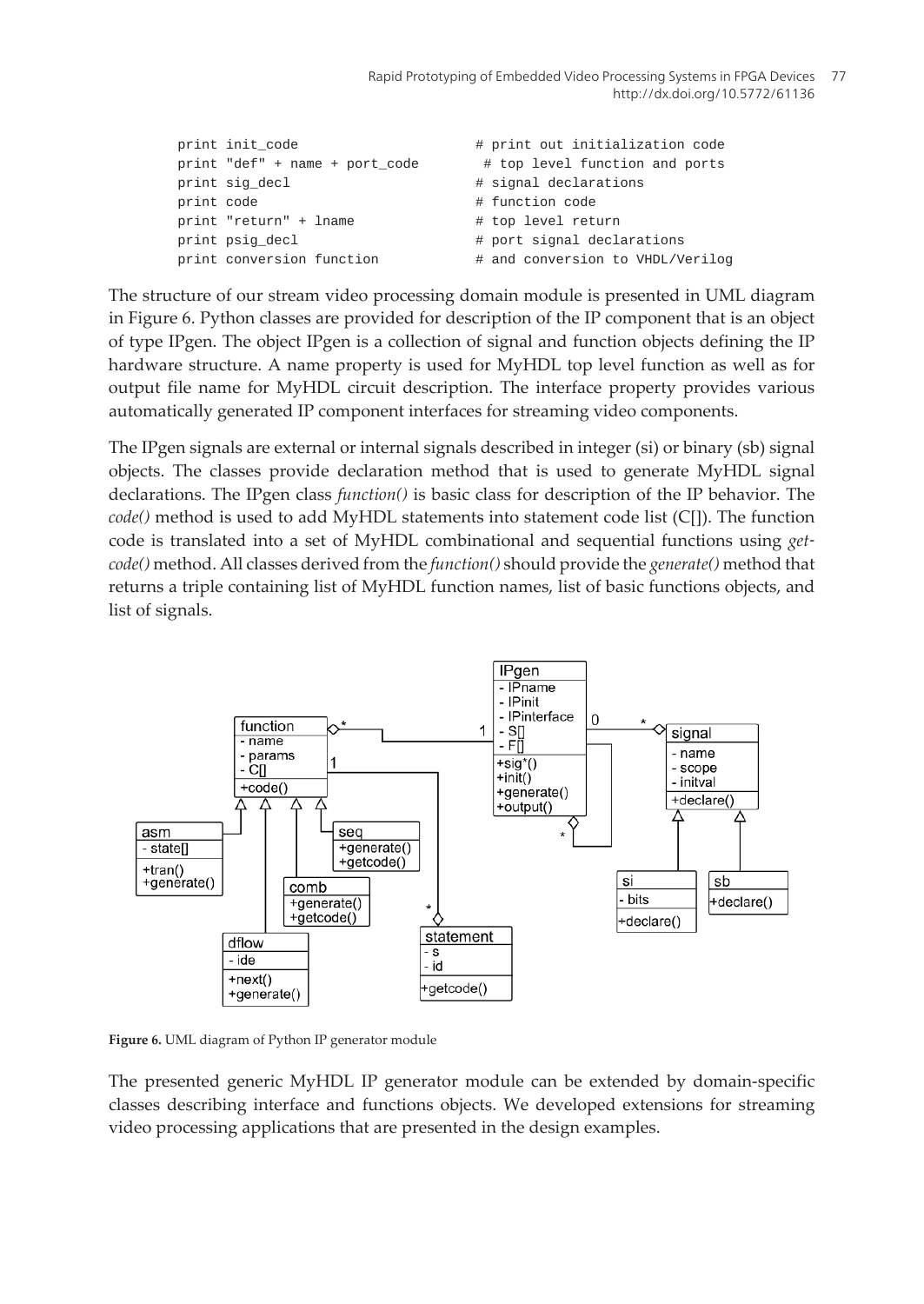|            | print init code                | # print out initialization code  |
|------------|--------------------------------|----------------------------------|
|            | print "def" + name + port code | # top level function and ports   |
|            | print sig_decl                 | # signal declarations            |
| print code |                                | # function code                  |
|            | print "return" + lname         | # top level return               |
|            | print psig decl                | # port signal declarations       |
|            | print conversion function      | # and conversion to VHDL/Verilog |

The structure of our stream video processing domain module is presented in UML diagram in Figure 6. Python classes are provided for description of the IP component that is an object of type IPgen. The object IPgen is a collection of signal and function objects defining the IP hardware structure. A name property is used for MyHDL top level function as well as for output file name for MyHDL circuit description. The interface property provides various automatically generated IP component interfaces for streaming video components.

The IPgen signals are external or internal signals described in integer (si) or binary (sb) signal objects. The classes provide declaration method that is used to generate MyHDL signal declarations. The IPgen class *function()* is basic class for description of the IP behavior. The *code()* method is used to add MyHDL statements into statement code list (C[]). The function code is translated into a set of MyHDL combinational and sequential functions using *getcode()* method. All classes derived from the *function()* should provide the *generate()* method that returns a triple containing list of MyHDL function names, list of basic functions objects, and list of signals.



Figure 6. UML diagram of Python IP generator module

The presented generic MyHDL IP generator module can be extended by domain-specific classes describing interface and functions objects. We developed extensions for streaming video processing applications that are presented in the design examples.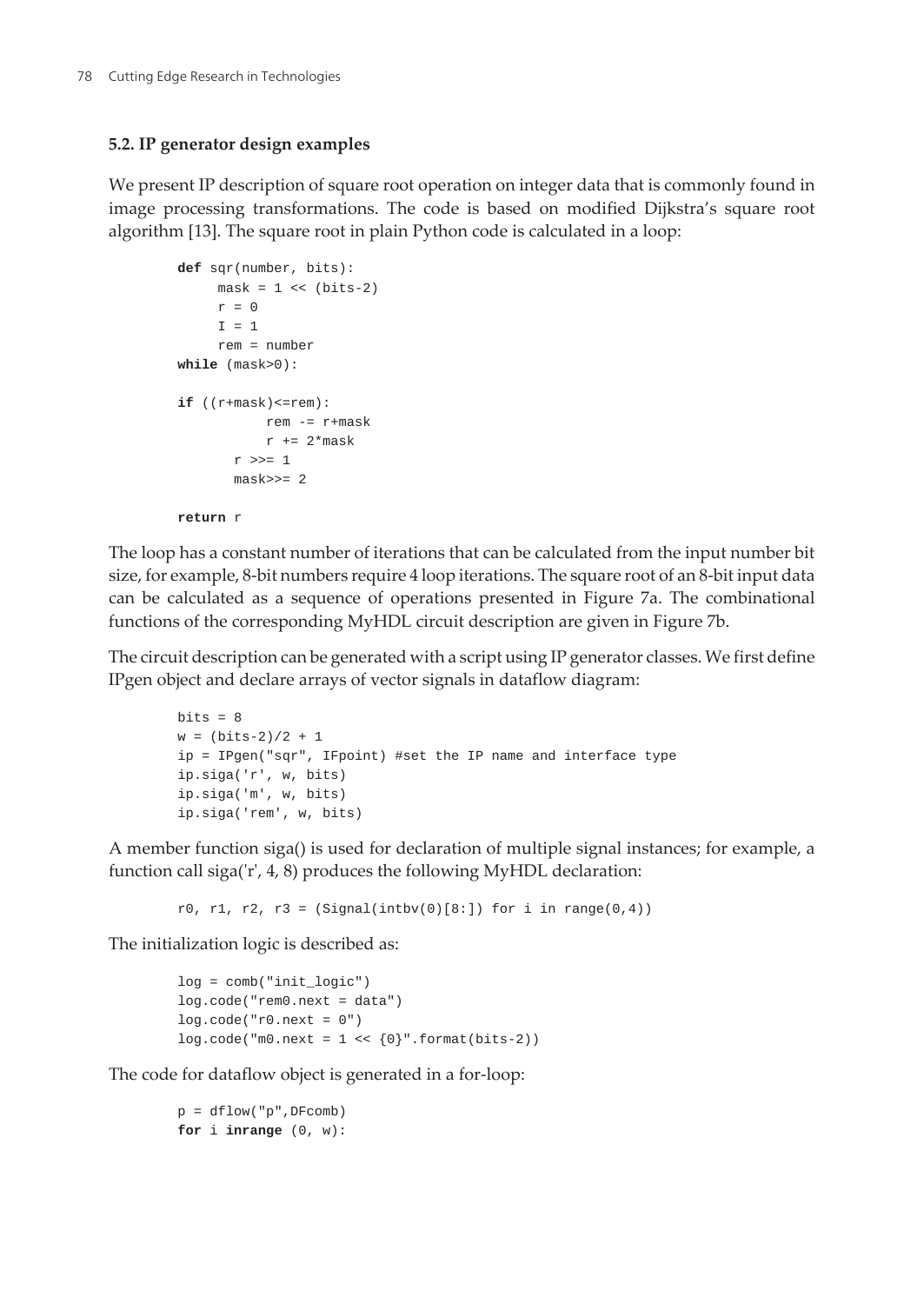#### <span id="page-13-0"></span>**5.2. IP generator design examples**

We present IP description of square root operation on integer data that is commonly found in image processing transformations. The code is based on modified Dijkstra's square root algorithm [\[13](#page-19-0)]. The square root in plain Python code is calculated in a loop:

```
def sqr(number, bits):
    mask = 1 \ll (bits-2)r = 0T = 1 rem = number
while (mask>0):
if ((r+mask)<=rem):
           rem -= r+mask
           r += 2*mask
       r \rightarrow>= 1 mask>>= 2
return r
```
The loop has a constant number of iterations that can be calculated from the input number bit size, for example, 8-bit numbers require 4 loop iterations. The square root of an 8-bit input data can be calculated as a sequence of operations presented in Figure 7a. The combinational functions of the corresponding MyHDL circuit description are given in Figure 7b.

The circuit description can be generated with a script using IP generator classes. We first define IPgen object and declare arrays of vector signals in dataflow diagram:

```
bits = 8w = (bits-2)/2 + 1ip = IPgen("sqr", IFpoint) #set the IP name and interface type
ip.siga('r', w, bits)
ip.siga('m', w, bits)
ip.siga('rem', w, bits)
```
A member function siga() is used for declaration of multiple signal instances; for example, a function call siga('r', 4, 8) produces the following MyHDL declaration:

```
r0, r1, r2, r3 = (Signal(intbv(0)[8:]) for i in range(0,4))
```
The initialization logic is described as:

```
log = comb("init_logic")
log.code("rem0.next = data")
log.code("r0.next = 0")
log.code("m0.next = 1 << {0}".format(bits-2))
```
The code for dataflow object is generated in a for-loop:

```
p = dflow("p",DFcomb)
for i inrange (0, w):
```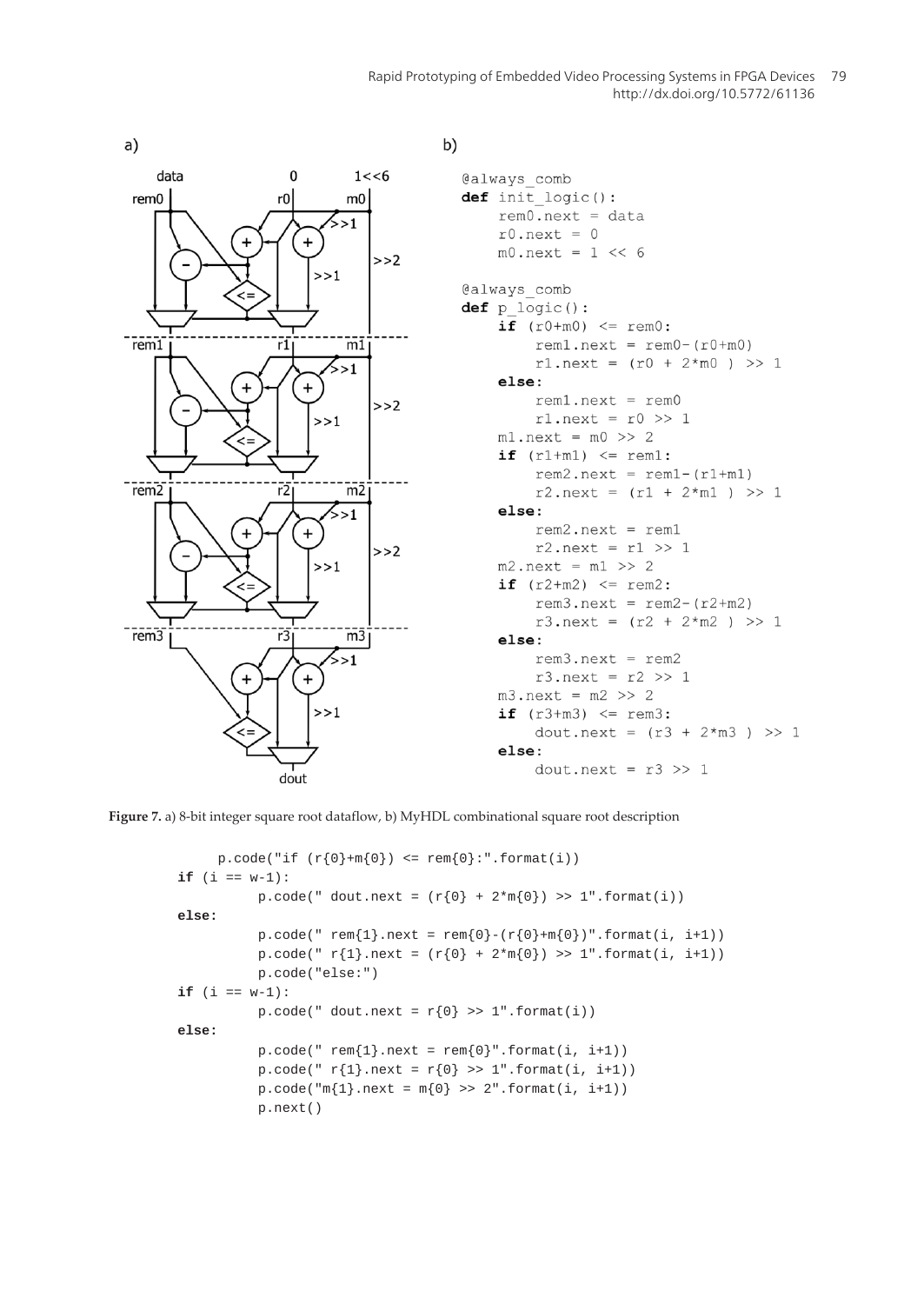Rapid Prototyping of Embedded Video Processing Systems in FPGA Devices 79http://dx.doi.org/10.5772/61136



```
@always comb
def init loc():
    rem0. next = datar0.next = 0m0.next = 1 \lt 6@always comb
def p logic():
    if (r0+m0) \leq r \neq m0:
        rem1.next = rem0-(r0+m0)r1.next = (r0 + 2*m0) >> 1else:
        rem1.next = rem0r1.next = r0 \gg 1ml.next = m0 \gg 2if (r1+m1) \leq r reml:
        rem2.next = rem1 - (r1 + m1)r2.next = (r1 + 2*ml) >> 1else:rem2.next = rem1r2.next = r1 \gg 1m2.next = m1 \gg 2if (r2+m2) \leq rem2:
        rem3.next = rem2 - (r2 + m2)r3.next = (r2 + 2*m2) >> 1else:
        rem3.next = rem2r3.next = r2 \gg 1m3.next = m2 \gg 2if (r3+m3) \leq rem3:
        dout.next = (r3 + 2*m3) >> 1
    else:
        dout.next = r3 \gg 1
```
**Figure 7.** a) 8-bit integer square root dataflow, b) MyHDL combinational square root description

```
p.\text{code('if (r{0}+m{0}) <= rem{0}::format(i))if (i == w-1):
          p.\text{code}(' 'dout.next = (r{0} + 2*m{0}) >> 1".format(i))else:
          p.\text{code(' rem1)}.next = rem{0}-(r{0}+m{0})".format(i, i+1))
          p.\text{code(' r{1}.next = (r{0} + 2*m{0}) >> 1".format(i, i+1)) p.code("else:")
if (i == w-1):
          p.code("dout.next = r{0} >> 1".format(i))else:
          p.code("rem{1}.next = rem{0}".format(i, i+1))p.code(" r{1}.next = r{0} >> 1".format(i, i+1))p.\text{code('m{1}.next = m{0} >> 2".format(i, i+1))} p.next()
```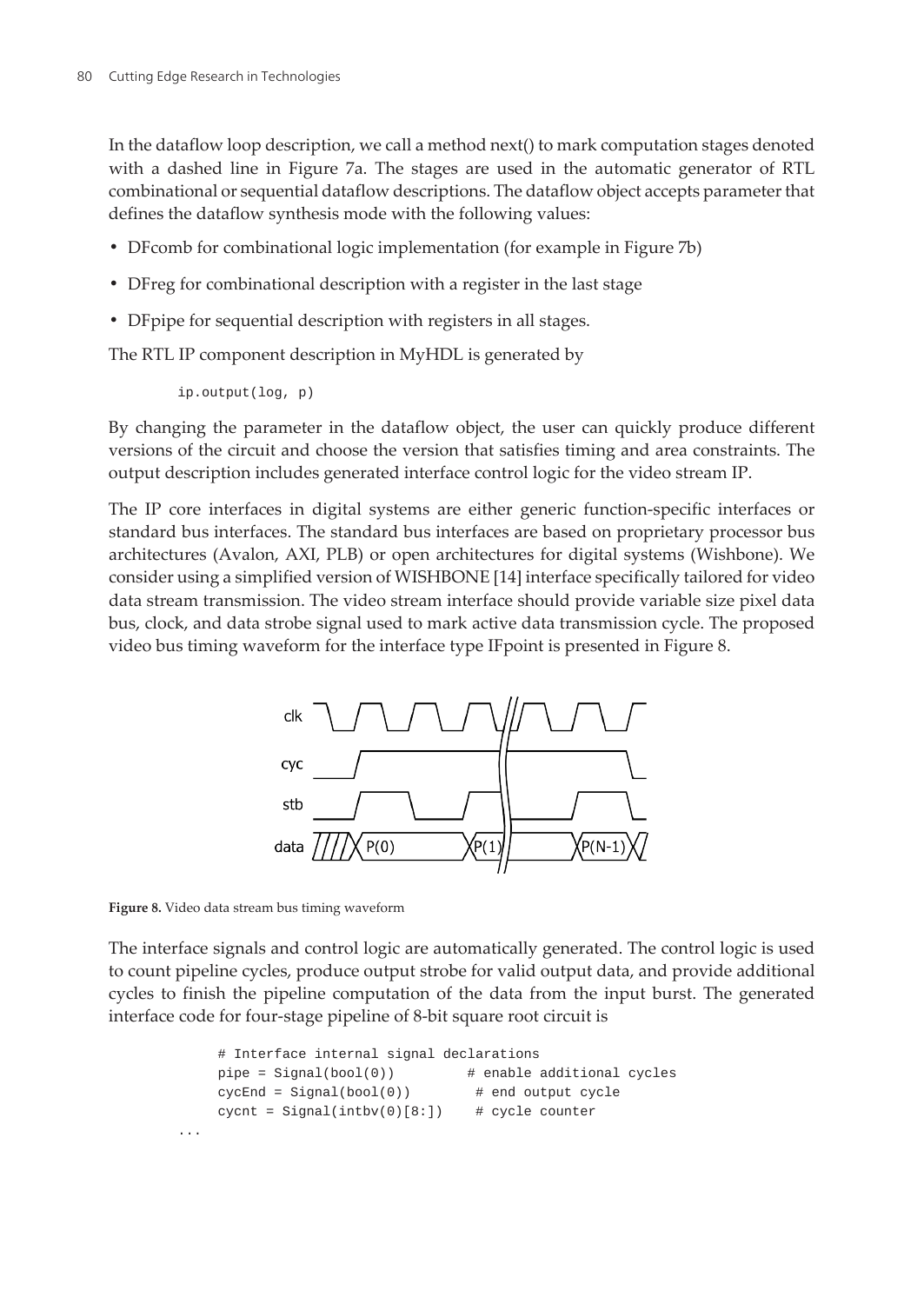In the dataflow loop description, we call a method next() to mark computation stages denoted with a dashed line in [Figure 7a](#page-13-0). The stages are used in the automatic generator of RTL combinational or sequential dataflow descriptions. The dataflow object accepts parameter that defines the dataflow synthesis mode with the following values:

- **•** DFcomb for combinational logic implementation (for example in [Figure 7b](#page-13-0))
- **•** DFreg for combinational description with a register in the last stage
- **•** DFpipe for sequential description with registers in all stages.

The RTL IP component description in MyHDL is generated by

ip.output(log, p)

By changing the parameter in the dataflow object, the user can quickly produce different versions of the circuit and choose the version that satisfies timing and area constraints. The output description includes generated interface control logic for the video stream IP.

The IP core interfaces in digital systems are either generic function-specific interfaces or standard bus interfaces. The standard bus interfaces are based on proprietary processor bus architectures (Avalon, AXI, PLB) or open architectures for digital systems (Wishbone). We consider using a simplified version of WISHBONE [\[14](#page-19-0)] interface specifically tailored for video data stream transmission. The video stream interface should provide variable size pixel data bus, clock, and data strobe signal used to mark active data transmission cycle. The proposed video bus timing waveform for the interface type IFpoint is presented in Figure 8.



**Figure 8.** Video data stream bus timing waveform

The interface signals and control logic are automatically generated. The control logic is used to count pipeline cycles, produce output strobe for valid output data, and provide additional cycles to finish the pipeline computation of the data from the input burst. The generated interface code for four-stage pipeline of 8-bit square root circuit is

```
 # Interface internal signal declarations
     pipe = Signal(bool(0)) # enable additional cycles
     cycEnd = Signal(bool(0)) # end output cycle
     cycnt = Signal(intbv(0)[8:]) # cycle counter
...
```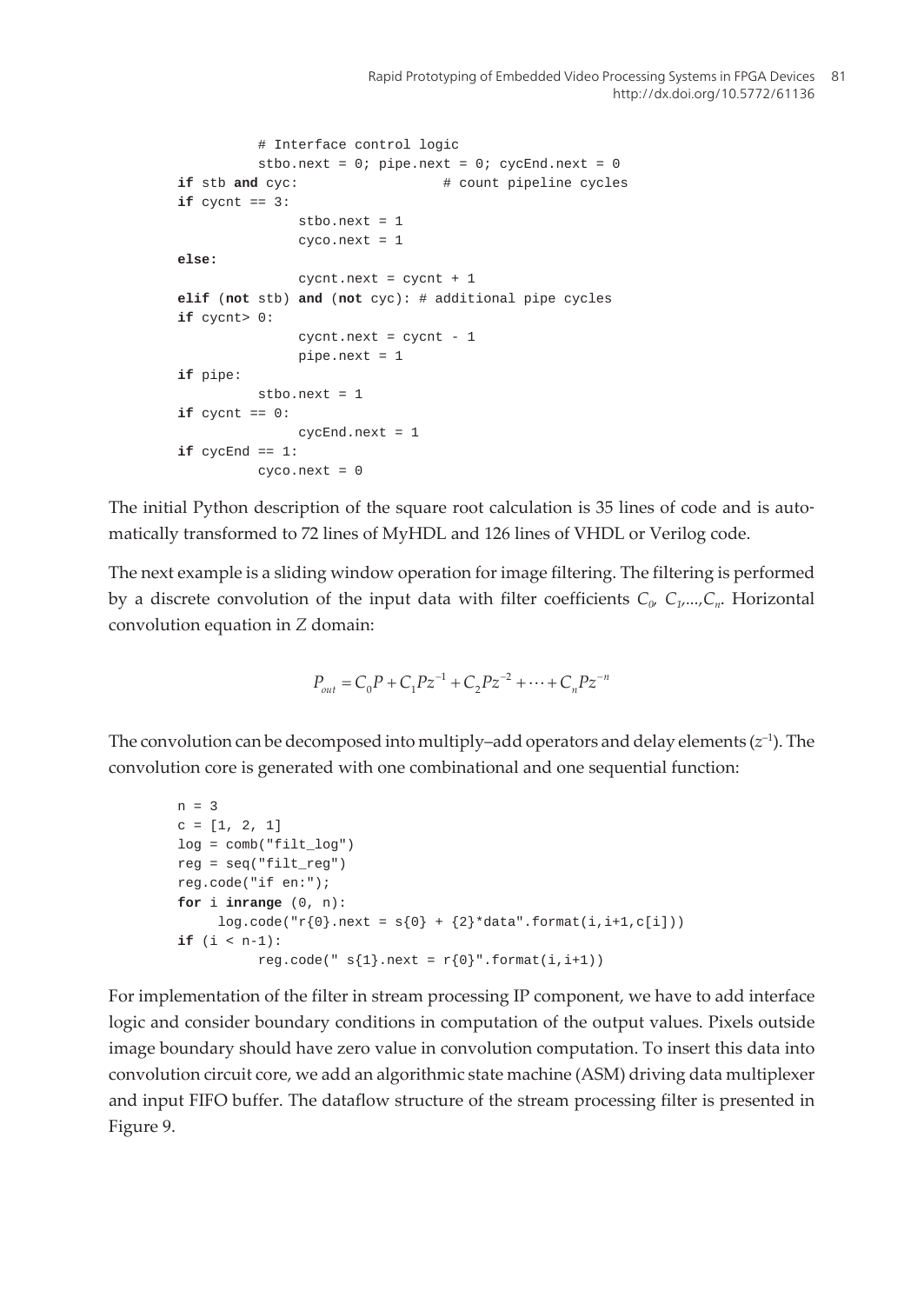```
 # Interface control logic
         stbo.next = 0; pipe.next = 0; cycEnd.next = 0
if stb and cyc: \qquad # count pipeline cycles
if cycnt == 3:
               stbo.next = 1
              cyco.next = 1
else:
              cycnt.next = cycnt + 1
elif (not stb) and (not cyc): # additional pipe cycles
if cycnt> 0:
              cycnt.next = cycnt - 1
              pipe.next = 1
if pipe:
         stbo.next = 1
if cycnt == 0:
              cycEnd.next = 1
if cyclend == 1:
          cyco.next = 0
```
The initial Python description of the square root calculation is 35 lines of code and is automatically transformed to 72 lines of MyHDL and 126 lines of VHDL or Verilog code.

The next example is a sliding window operation for image filtering. The filtering is performed by a discrete convolution of the input data with filter coefficients  $C_{0}$ ,  $C_{1}$ ,..., $C_{n}$ . Horizontal convolution equation in *Z* domain:

```
P_{out} = C_0 P + C_1 P z^{-1} + C_2 P z^{-2} + \cdots + C_n P z^{-n}
```
The convolution can be decomposed into multiply–add operators and delay elements (*z* –1). The convolution core is generated with one combinational and one sequential function:

```
n = 3
c = [1, 2, 1]log = comb("filt_log")
reg = seq("filt_reg")
reg.code("if en:");
for i inrange (0, n):
     log.code("r{0}].next = s{0} + {2} *data".format(i,i+1,c[i]))if (i < n-1):
          reg.code(" s{1}.next = r{0}'.format(i, i+1))
```
For implementation of the filter in stream processing IP component, we have to add interface logic and consider boundary conditions in computation of the output values. Pixels outside image boundary should have zero value in convolution computation. To insert this data into convolution circuit core, we add an algorithmic state machine (ASM) driving data multiplexer and input FIFO buffer. The dataflow structure of the stream processing filter is presented in Figure 9.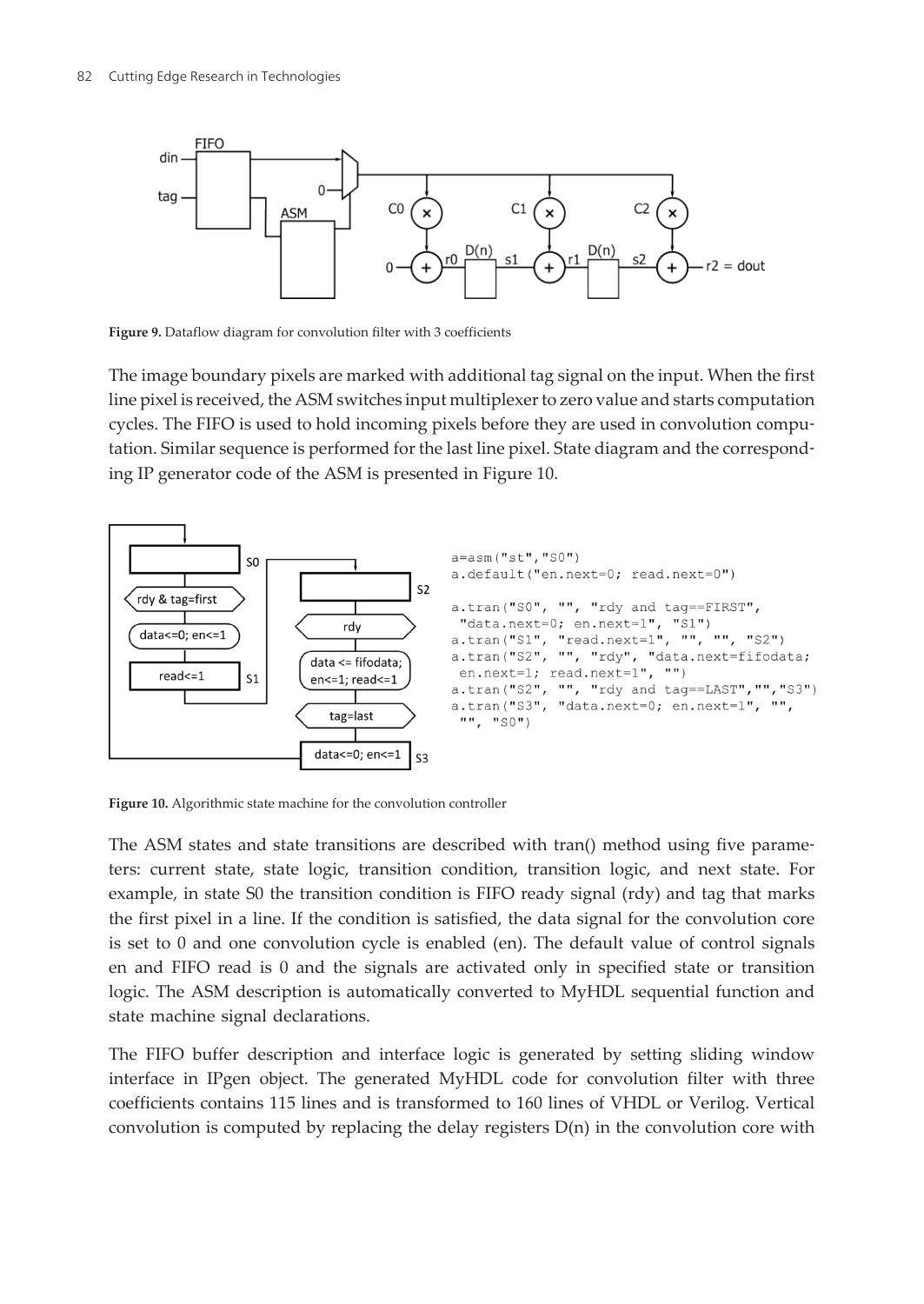

Figure 9. Dataflow diagram for convolution filter with 3 coefficients

The image boundary pixels are marked with additional tag signal on the input. When the first line pixel is received, the ASM switches input multiplexer to zero value and starts computation cycles. The FIFO is used to hold incoming pixels before they are used in convolution computation. Similar sequence is performed for the last line pixel. State diagram and the correspond‐ ing IP generator code of the ASM is presented in Figure 10.



**Figure 10.** Algorithmic state machine for the convolution controller

The ASM states and state transitions are described with tran() method using five parame‐ ters: current state, state logic, transition condition, transition logic, and next state. For example, in state S0 the transition condition is FIFO ready signal (rdy) and tag that marks the first pixel in a line. If the condition is satisfied, the data signal for the convolution core is set to 0 and one convolution cycle is enabled (en). The default value of control signals en and FIFO read is 0 and the signals are activated only in specified state or transition logic. The ASM description is automatically converted to MyHDL sequential function and state machine signal declarations.

The FIFO buffer description and interface logic is generated by setting sliding window interface in IPgen object. The generated MyHDL code for convolution filter with three coefficients contains 115 lines and is transformed to 160 lines of VHDL or Verilog. Vertical convolution is computed by replacing the delay registers  $D(n)$  in the convolution core with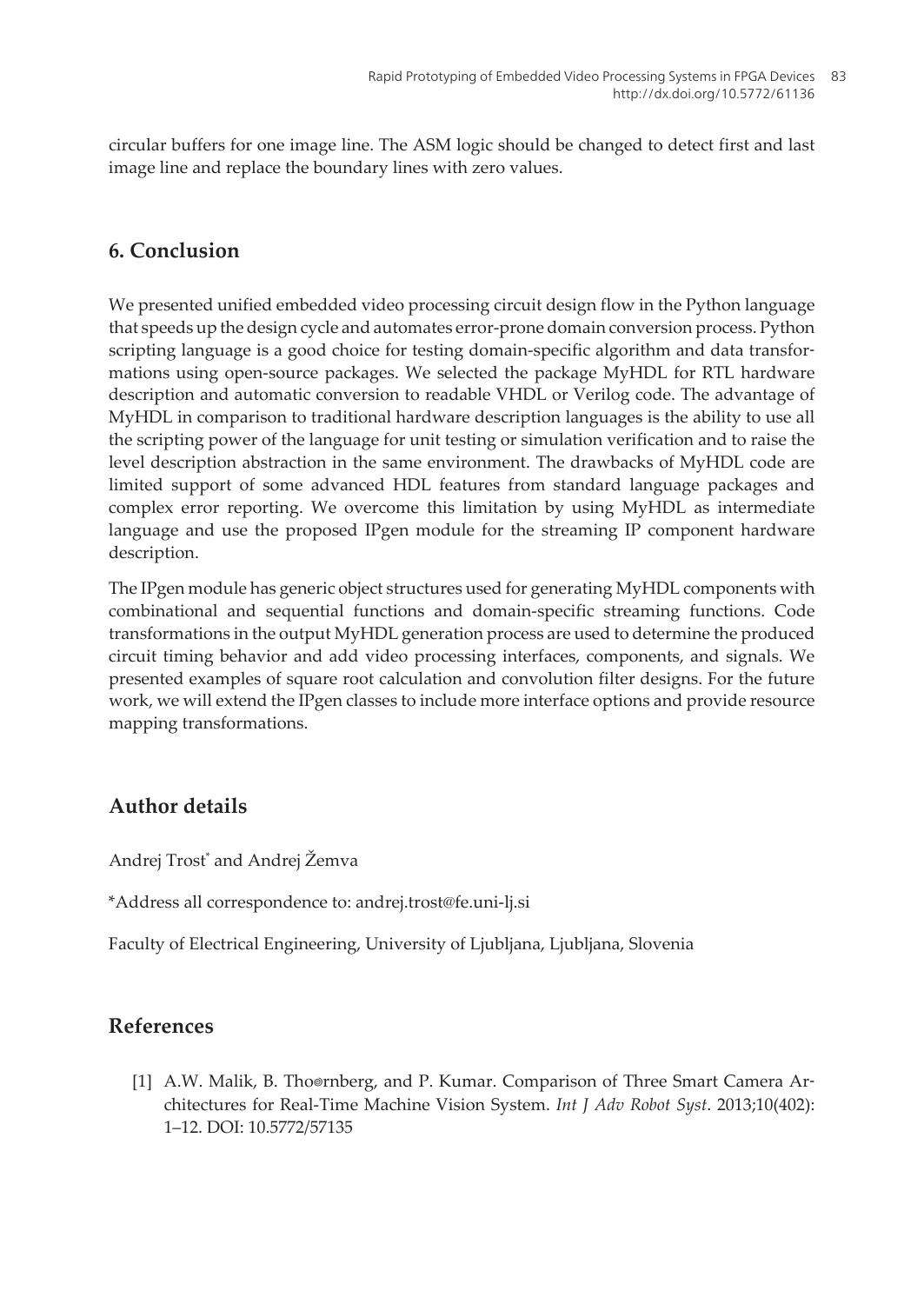<span id="page-18-0"></span>circular buffers for one image line. The ASM logic should be changed to detect first and last image line and replace the boundary lines with zero values.

## **6. Conclusion**

We presented unified embedded video processing circuit design flow in the Python language that speeds up the design cycle and automates error-prone domain conversion process. Python scripting language is a good choice for testing domain-specific algorithm and data transformations using open-source packages. We selected the package MyHDL for RTL hardware description and automatic conversion to readable VHDL or Verilog code. The advantage of MyHDL in comparison to traditional hardware description languages is the ability to use all the scripting power of the language for unit testing or simulation verification and to raise the level description abstraction in the same environment. The drawbacks of MyHDL code are limited support of some advanced HDL features from standard language packages and complex error reporting. We overcome this limitation by using MyHDL as intermediate language and use the proposed IPgen module for the streaming IP component hardware description.

The IPgen module has generic object structures used for generating MyHDL components with combinational and sequential functions and domain-specific streaming functions. Code transformations in the output MyHDL generation process are used to determine the produced circuit timing behavior and add video processing interfaces, components, and signals. We presented examples of square root calculation and convolution filter designs. For the future work, we will extend the IPgen classes to include more interface options and provide resource mapping transformations.

# **Author details**

Andrej Trost\* and Andrej Žemva

\*Address all correspondence to: andrej.trost@fe.uni-lj.si

Faculty of Electrical Engineering, University of Ljubljana, Ljubljana, Slovenia

## **References**

[1] A.W. Malik, B. Tho $\infty$ rnberg, and P. Kumar. Comparison of Three Smart Camera Architectures for Real-Time Machine Vision System. *Int J Adv Robot Syst*. 2013;10(402): 1–12. DOI: 10.5772/57135